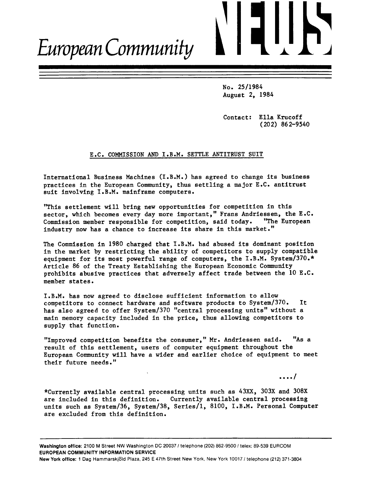# European Community

No. 25/1984 August 2, 1984

Contact: Ella Krucoff  $(202)$  862-9540

# E.C. COMMISSION AND I.B.M. SETTLE ANTITRUST SUIT

International Business Machines (I.B.M.) has agreed to change its business practices in the European Community, thus settling a major E.C. antitrust suit involving I.B.M. mainframe computers.

"This settlement will bring new opportunities for competition in this sector, which becomes every day more important," Frans Andriessen, the E.C. Commission member responsible for competition, said today. "The European industry now has a chance to increase its share in this market."

The Commission in 1980 charged that I.B.M. had abused its dominant position in the market by restricting the ability of competitors to supply compatible equipment for its most powerful range of computers, the I.B.M. System/370.\* Article 86 of the Treaty Establishing the European Economic Community prohibits abusive practices that adversely affect trade between the 10 E.C. member states.

I.B.M. has now agreed to disclose sufficient information to allow competitors to connect hardware and software products to System/370. It has also agreed to offer System/370 "central processing units" without a main memory capacity included in the price, thus allowing competitors to supply that function.

"Improved competition benefits the consumer," Mr. Andriessen said. "As a result of this settlement, users of computer equipment throughout the European Community will have a wider and earlier choice of equipment to meet their future needs."

 $\cdots$ 

\*Currently available central processing units such as 43XX, 303X and 308X are included in this definition. Currently available central processing units such as System/36, System/38, Series/1, 8100, I.B.M. Personal Computer are excluded from this definition.

Washington office: 2100 M Street NW Washington DC 20037 / telephone (202) 862-9500 / telex: 89-539 EURCOM EUROPEAN COMMUNITY INFORMATION SERVICE

New York office: 1 Dag Hammarskjöld Plaza, 245 E 47th Street New York, New York 10017 / telephone (212) 371-3804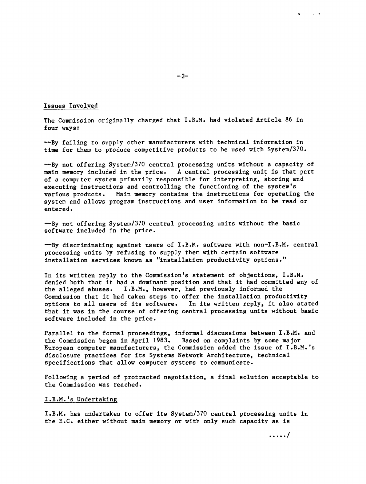# Issues Involved

The Commission originally charged that  $I.B.M.$  had violated Article 86 in four ways:

--By failing to supply other manufacturers with technical information in tlme for them to produce competitlve products to be used with System/370.

--By not offering System/370 central processing units without a capacity of main memory included in the price. A central processing unit is that part A central processing unit is that part of a conputer systen prinarlly responslble for lnterpretlng, storlng and executing instructions and controlling the functioning of the system's various products. Main memory contains the instructions for operating the system and allows program instructions and user information to be read or entered.

-By not offering System/370 central processing units without the basic software included in the price.

--By dlscrlmlnatlng agalnst users of I.B.M. software wlth non-I.B.M. central processing units by refusing to supply them with certain software installation services known as "installation productivity options."

In its written reply to the Commission's statement of objections, I.B.M. denied both that it had a dominant position and that it had committed any of the alleged abuses.  $I.B.M.,$  however, had previously informed the I.B.M., however, had previously informed the Commission that it had taken steps to offer the installation productivity<br>options to all users of its software. In its written reply, it also stated options to all users of its software. that it was in the course of offering central processing units without basic software included in the price.

Parallel to the formal proceedlngs, lnformal dlscusslons between I.B.M. and the Commission began in April 1983. Based on complaints by some major European computer manufacturers, the Commission added the issue of  $I.B.M.'s$ disclosure practices for its Systems Network Architecture, technical specifications that allow computer systems to communicate.

Following a period of protracted negotiation, a final solution acceptable to the Commission was reached.

## I.B.M.'s Undertaking

I.B.M. has undertaken to offer its System/370 central processing units in the E.C. either without main memory or with only such capacity as is

,aaaf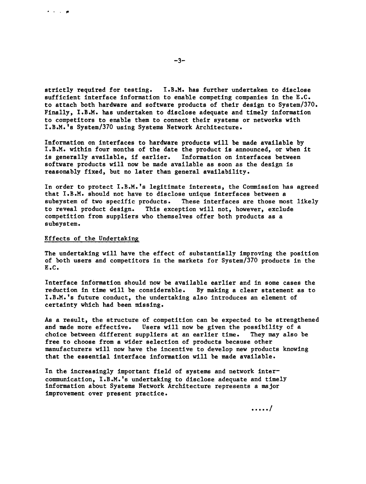strictly required for testing. I.B.M. has further undertaken to disclose sufficient interface information to enable competing companies in the  $E.C.$ to attach both hardware and software products of their design to System/370. Finally, I.B.M. has undertaken to disclose adequate and timely information to competitors to enable them to connect their systems or networks with I.B.M.'s System/370 using Systems Network Architecture.

Information on interfaces to hardware products will be made available by I.B.M. within four months of the date the product is announced, or when it is generally available, if earlier. Information on interfaces between software products will now be made available as soon as the design is reasonably fixed, but no later than general availability.

In order to protect I.B.M.'s legitimate interests, the Commission has agreed that I.B.M. should not have to dleclose unlque interfaces between <sup>a</sup> subsysten of two speclflc products. These lnterfaces are those nost llkely to reveal product design. Thls exceptlon wll1 not, however, exclude cornpetltlon from suppllers who themselves offer both products as <sup>a</sup> subsystem.

#### Effects of the Undertaking

 $\lambda$  ,  $\lambda$  ,  $\lambda$  , and  $\lambda$ 

The undertaking will have the effect of substantially improving the position of both users and competitors in the markets for System/370 products in the E.C.

Interface information should now be available earlier and in some cases the reduction in time will be considerable. By making a clear statement as to I.B.M.'s future conduct, the undertaking also introduces an element of certainty which had been missing.

As a result, the structure of conpetltlon can be expected to be strengthened and made more effective. Users will now be given the possibility of a cholce between dlfferent suppllers at an earller tlme. They may also be free to choose from a wider selection of products because other manufacturers will now have the incentive to develop new products knowing that the essential interface information will be made available.

In the increasingly important field of systems and network intercommunication, I.B.M.'s undertaking to disclose adequate and timely lnformatlon about Systens Network Archltecture represents a maJor improvement over present practice.

.....1

 $-3-$